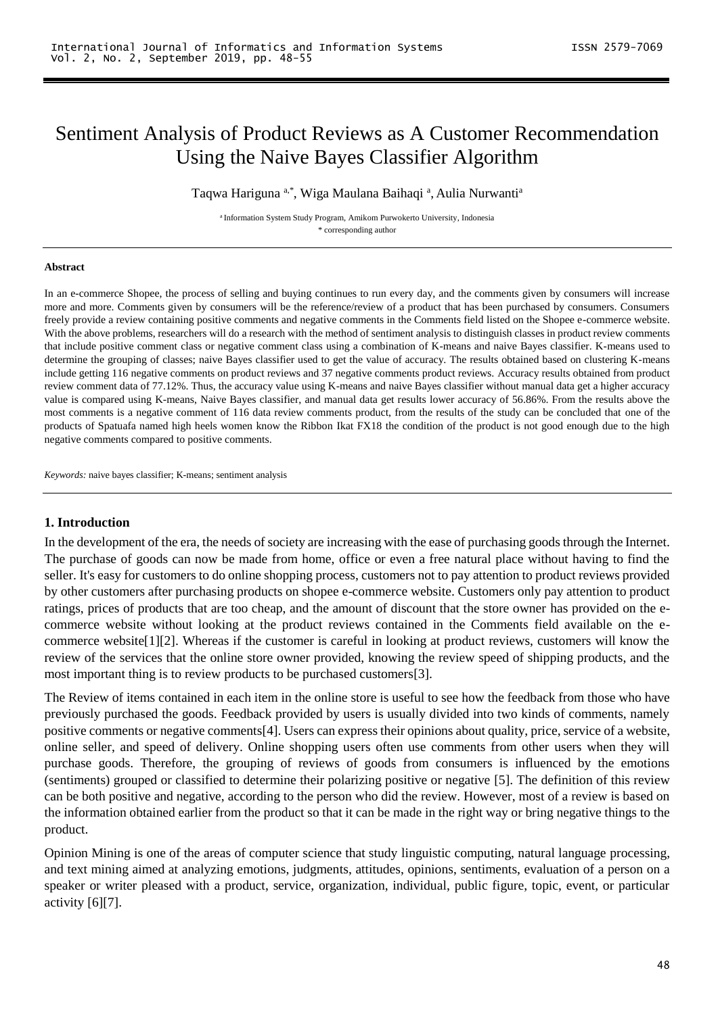# Sentiment Analysis of Product Reviews as A Customer Recommendation Using the Naive Bayes Classifier Algorithm

Taqwa Hariguna a,\*, Wiga Maulana Baihaqi <sup>a</sup>, Aulia Nurwanti<sup>a</sup>

<sup>a</sup> Information System Study Program, Amikom Purwokerto University, Indonesia \* corresponding author

#### **Abstract**

In an e-commerce Shopee, the process of selling and buying continues to run every day, and the comments given by consumers will increase more and more. Comments given by consumers will be the reference/review of a product that has been purchased by consumers. Consumers freely provide a review containing positive comments and negative comments in the Comments field listed on the Shopee e-commerce website. With the above problems, researchers will do a research with the method of sentiment analysis to distinguish classes in product review comments that include positive comment class or negative comment class using a combination of K-means and naive Bayes classifier. K-means used to determine the grouping of classes; naive Bayes classifier used to get the value of accuracy. The results obtained based on clustering K-means include getting 116 negative comments on product reviews and 37 negative comments product reviews. Accuracy results obtained from product review comment data of 77.12%. Thus, the accuracy value using K-means and naive Bayes classifier without manual data get a higher accuracy value is compared using K-means, Naive Bayes classifier, and manual data get results lower accuracy of 56.86%. From the results above the most comments is a negative comment of 116 data review comments product, from the results of the study can be concluded that one of the products of Spatuafa named high heels women know the Ribbon Ikat FX18 the condition of the product is not good enough due to the high negative comments compared to positive comments.

*Keywords:* naive bayes classifier; K-means; sentiment analysis

### **1. Introduction**

In the development of the era, the needs of society are increasing with the ease of purchasing goods through the Internet. The purchase of goods can now be made from home, office or even a free natural place without having to find the seller. It's easy for customers to do online shopping process, customers not to pay attention to product reviews provided by other customers after purchasing products on shopee e-commerce website. Customers only pay attention to product ratings, prices of products that are too cheap, and the amount of discount that the store owner has provided on the ecommerce website without looking at the product reviews contained in the Comments field available on the ecommerce website[1][2]. Whereas if the customer is careful in looking at product reviews, customers will know the review of the services that the online store owner provided, knowing the review speed of shipping products, and the most important thing is to review products to be purchased customers[3].

The Review of items contained in each item in the online store is useful to see how the feedback from those who have previously purchased the goods. Feedback provided by users is usually divided into two kinds of comments, namely positive comments or negative comments[4]. Users can express their opinions about quality, price, service of a website, online seller, and speed of delivery. Online shopping users often use comments from other users when they will purchase goods. Therefore, the grouping of reviews of goods from consumers is influenced by the emotions (sentiments) grouped or classified to determine their polarizing positive or negative [5]. The definition of this review can be both positive and negative, according to the person who did the review. However, most of a review is based on the information obtained earlier from the product so that it can be made in the right way or bring negative things to the product.

Opinion Mining is one of the areas of computer science that study linguistic computing, natural language processing, and text mining aimed at analyzing emotions, judgments, attitudes, opinions, sentiments, evaluation of a person on a speaker or writer pleased with a product, service, organization, individual, public figure, topic, event, or particular activity [6][7].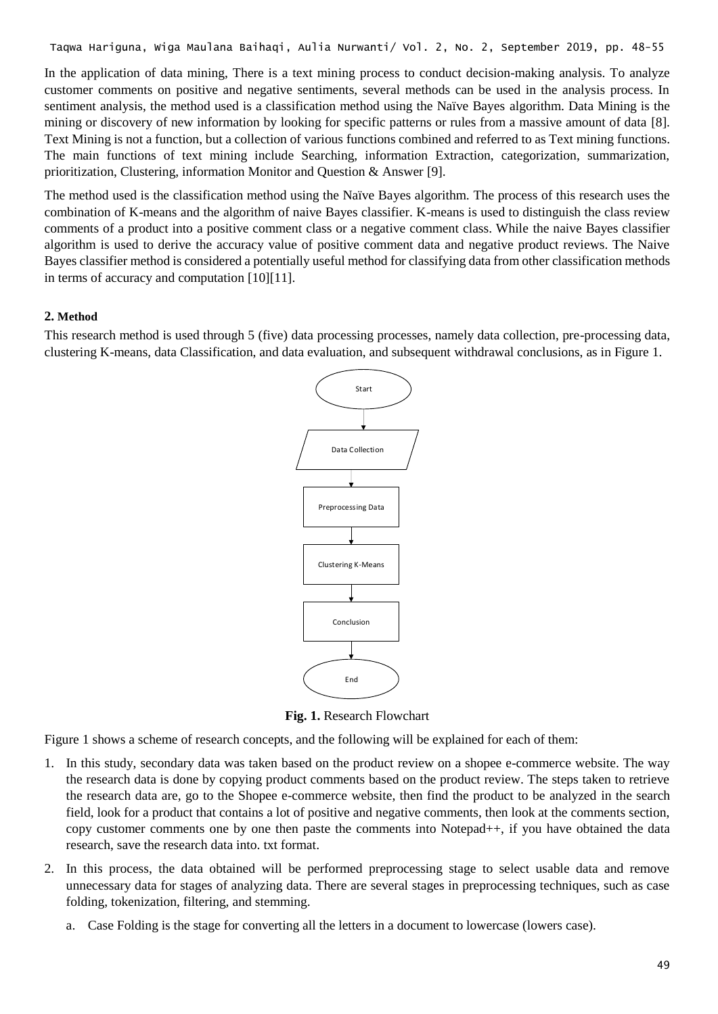In the application of data mining, There is a text mining process to conduct decision-making analysis. To analyze customer comments on positive and negative sentiments, several methods can be used in the analysis process. In sentiment analysis, the method used is a classification method using the Naïve Bayes algorithm. Data Mining is the mining or discovery of new information by looking for specific patterns or rules from a massive amount of data [8]. Text Mining is not a function, but a collection of various functions combined and referred to as Text mining functions. The main functions of text mining include Searching, information Extraction, categorization, summarization, prioritization, Clustering, information Monitor and Question & Answer [9].

The method used is the classification method using the Naïve Bayes algorithm. The process of this research uses the combination of K-means and the algorithm of naive Bayes classifier. K-means is used to distinguish the class review comments of a product into a positive comment class or a negative comment class. While the naive Bayes classifier algorithm is used to derive the accuracy value of positive comment data and negative product reviews. The Naive Bayes classifier method is considered a potentially useful method for classifying data from other classification methods in terms of accuracy and computation [10][11].

### **2. Method**

This research method is used through 5 (five) data processing processes, namely data collection, pre-processing data, clustering K-means, data Classification, and data evaluation, and subsequent withdrawal conclusions, as in Figure 1.



**Fig. 1.** Research Flowchart

Figure 1 shows a scheme of research concepts, and the following will be explained for each of them:

- 1. In this study, secondary data was taken based on the product review on a shopee e-commerce website. The way the research data is done by copying product comments based on the product review. The steps taken to retrieve the research data are, go to the Shopee e-commerce website, then find the product to be analyzed in the search field, look for a product that contains a lot of positive and negative comments, then look at the comments section, copy customer comments one by one then paste the comments into Notepad++, if you have obtained the data research, save the research data into. txt format.
- 2. In this process, the data obtained will be performed preprocessing stage to select usable data and remove unnecessary data for stages of analyzing data. There are several stages in preprocessing techniques, such as case folding, tokenization, filtering, and stemming.
	- a. Case Folding is the stage for converting all the letters in a document to lowercase (lowers case).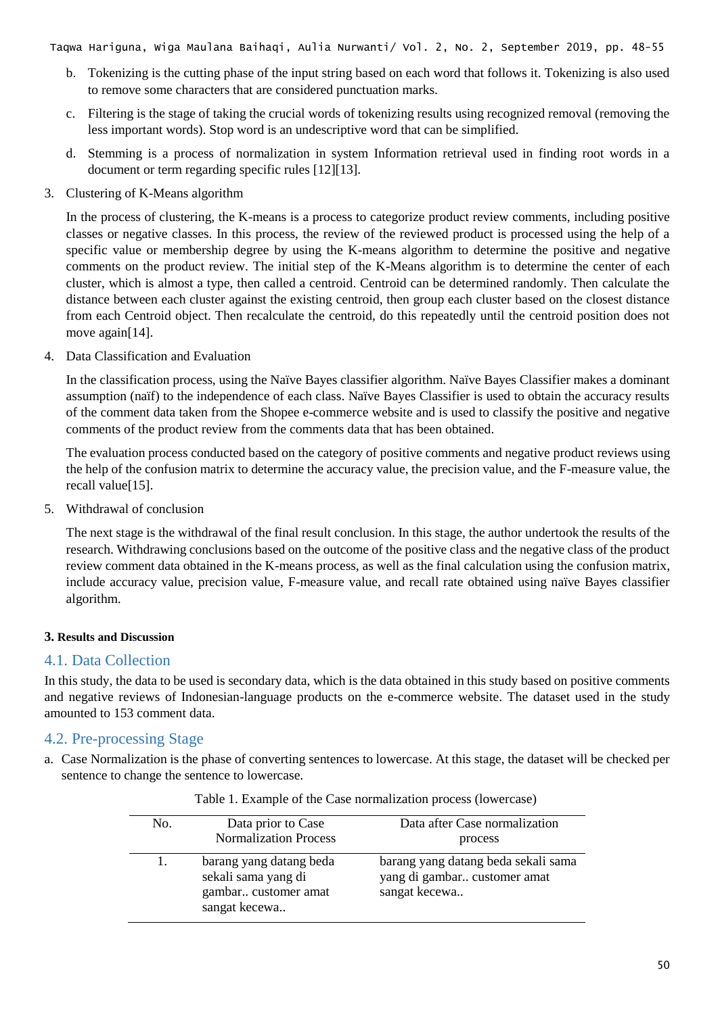- b. Tokenizing is the cutting phase of the input string based on each word that follows it. Tokenizing is also used to remove some characters that are considered punctuation marks.
- c. Filtering is the stage of taking the crucial words of tokenizing results using recognized removal (removing the less important words). Stop word is an undescriptive word that can be simplified.
- d. Stemming is a process of normalization in system Information retrieval used in finding root words in a document or term regarding specific rules [12][13].
- 3. Clustering of K-Means algorithm

In the process of clustering, the K-means is a process to categorize product review comments, including positive classes or negative classes. In this process, the review of the reviewed product is processed using the help of a specific value or membership degree by using the K-means algorithm to determine the positive and negative comments on the product review. The initial step of the K-Means algorithm is to determine the center of each cluster, which is almost a type, then called a centroid. Centroid can be determined randomly. Then calculate the distance between each cluster against the existing centroid, then group each cluster based on the closest distance from each Centroid object. Then recalculate the centroid, do this repeatedly until the centroid position does not move again[14].

4. Data Classification and Evaluation

In the classification process, using the Naïve Bayes classifier algorithm. Naïve Bayes Classifier makes a dominant assumption (naïf) to the independence of each class. Naïve Bayes Classifier is used to obtain the accuracy results of the comment data taken from the Shopee e-commerce website and is used to classify the positive and negative comments of the product review from the comments data that has been obtained.

The evaluation process conducted based on the category of positive comments and negative product reviews using the help of the confusion matrix to determine the accuracy value, the precision value, and the F-measure value, the recall value[15].

5. Withdrawal of conclusion

The next stage is the withdrawal of the final result conclusion. In this stage, the author undertook the results of the research. Withdrawing conclusions based on the outcome of the positive class and the negative class of the product review comment data obtained in the K-means process, as well as the final calculation using the confusion matrix, include accuracy value, precision value, F-measure value, and recall rate obtained using naïve Bayes classifier algorithm.

# **3. Results and Discussion**

# 4.1. Data Collection

In this study, the data to be used is secondary data, which is the data obtained in this study based on positive comments and negative reviews of Indonesian-language products on the e-commerce website. The dataset used in the study amounted to 153 comment data.

# 4.2. Pre-processing Stage

a. Case Normalization is the phase of converting sentences to lowercase. At this stage, the dataset will be checked per sentence to change the sentence to lowercase.

| No. | Data prior to Case<br><b>Normalization Process</b>                                      | Data after Case normalization<br>process                                             |
|-----|-----------------------------------------------------------------------------------------|--------------------------------------------------------------------------------------|
| 1.  | barang yang datang beda<br>sekali sama yang di<br>gambar customer amat<br>sangat kecewa | barang yang datang beda sekali sama<br>yang di gambar customer amat<br>sangat kecewa |

|  | Table 1. Example of the Case normalization process (lowercase) |
|--|----------------------------------------------------------------|
|  |                                                                |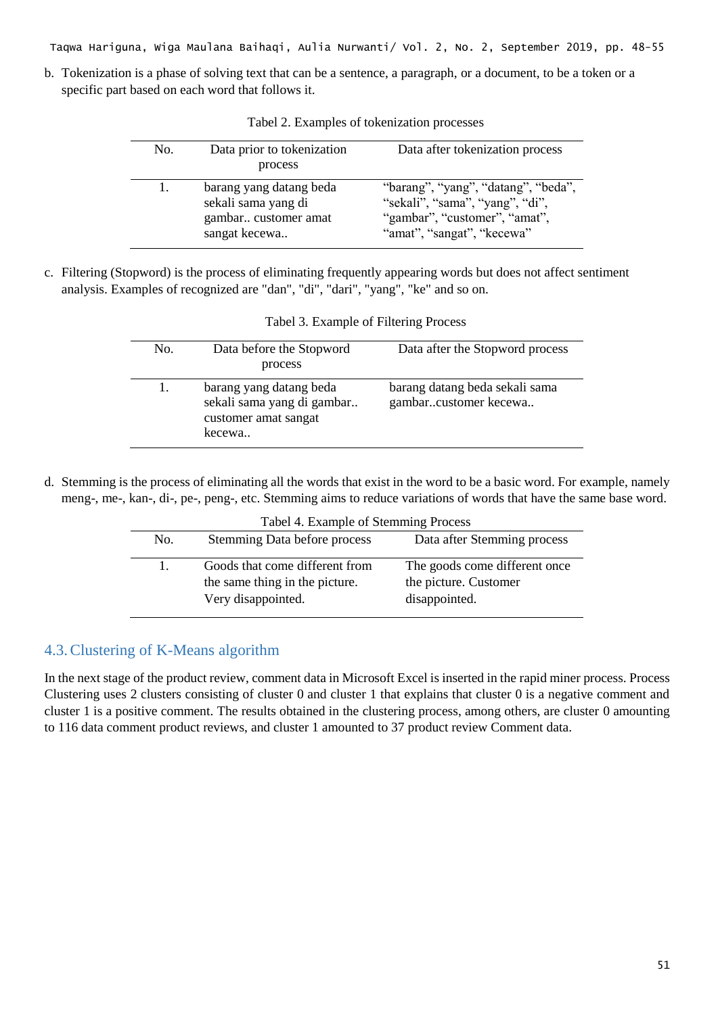b. Tokenization is a phase of solving text that can be a sentence, a paragraph, or a document, to be a token or a specific part based on each word that follows it.

| No. | Data prior to tokenization<br>process                                                   | Data after tokenization process                                                                                                       |
|-----|-----------------------------------------------------------------------------------------|---------------------------------------------------------------------------------------------------------------------------------------|
| 1.  | barang yang datang beda<br>sekali sama yang di<br>gambar customer amat<br>sangat kecewa | "barang", "yang", "datang", "beda",<br>"sekali", "sama", "yang", "di",<br>"gambar", "customer", "amat",<br>"amat", "sangat", "kecewa" |

Tabel 2. Examples of tokenization processes

c. Filtering (Stopword) is the process of eliminating frequently appearing words but does not affect sentiment analysis. Examples of recognized are "dan", "di", "dari", "yang", "ke" and so on.

| No. | Data before the Stopword<br>process                                                     | Data after the Stopword process                         |
|-----|-----------------------------------------------------------------------------------------|---------------------------------------------------------|
|     | barang yang datang beda<br>sekali sama yang di gambar<br>customer amat sangat<br>kecewa | barang datang beda sekali sama<br>gambarcustomer kecewa |

Tabel 3. Example of Filtering Process

d. Stemming is the process of eliminating all the words that exist in the word to be a basic word. For example, namely meng-, me-, kan-, di-, pe-, peng-, etc. Stemming aims to reduce variations of words that have the same base word.

|     | Tabel 4. Example of Stemming Process                                                   |                                                                         |  |  |
|-----|----------------------------------------------------------------------------------------|-------------------------------------------------------------------------|--|--|
| No. | Stemming Data before process                                                           | Data after Stemming process                                             |  |  |
|     | Goods that come different from<br>the same thing in the picture.<br>Very disappointed. | The goods come different once<br>the picture. Customer<br>disappointed. |  |  |

# 4.3.Clustering of K-Means algorithm

In the next stage of the product review, comment data in Microsoft Excel is inserted in the rapid miner process. Process Clustering uses 2 clusters consisting of cluster 0 and cluster 1 that explains that cluster 0 is a negative comment and cluster 1 is a positive comment. The results obtained in the clustering process, among others, are cluster 0 amounting to 116 data comment product reviews, and cluster 1 amounted to 37 product review Comment data.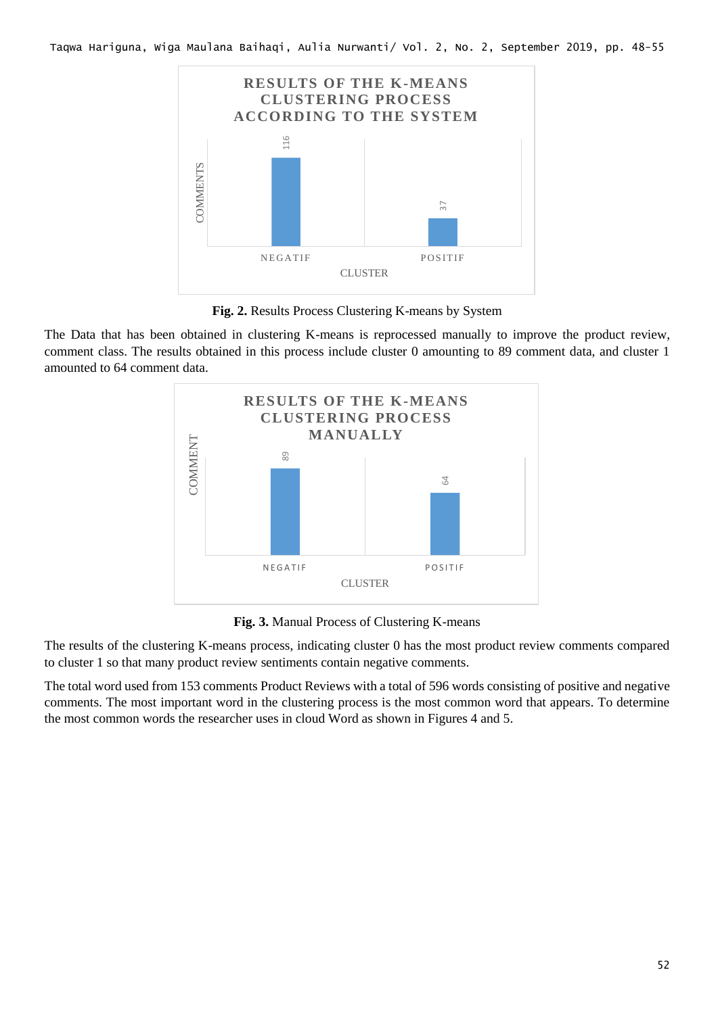

**Fig. 2.** Results Process Clustering K-means by System

The Data that has been obtained in clustering K-means is reprocessed manually to improve the product review, comment class. The results obtained in this process include cluster 0 amounting to 89 comment data, and cluster 1 amounted to 64 comment data.



**Fig. 3.** Manual Process of Clustering K-means

The results of the clustering K-means process, indicating cluster 0 has the most product review comments compared to cluster 1 so that many product review sentiments contain negative comments.

The total word used from 153 comments Product Reviews with a total of 596 words consisting of positive and negative comments. The most important word in the clustering process is the most common word that appears. To determine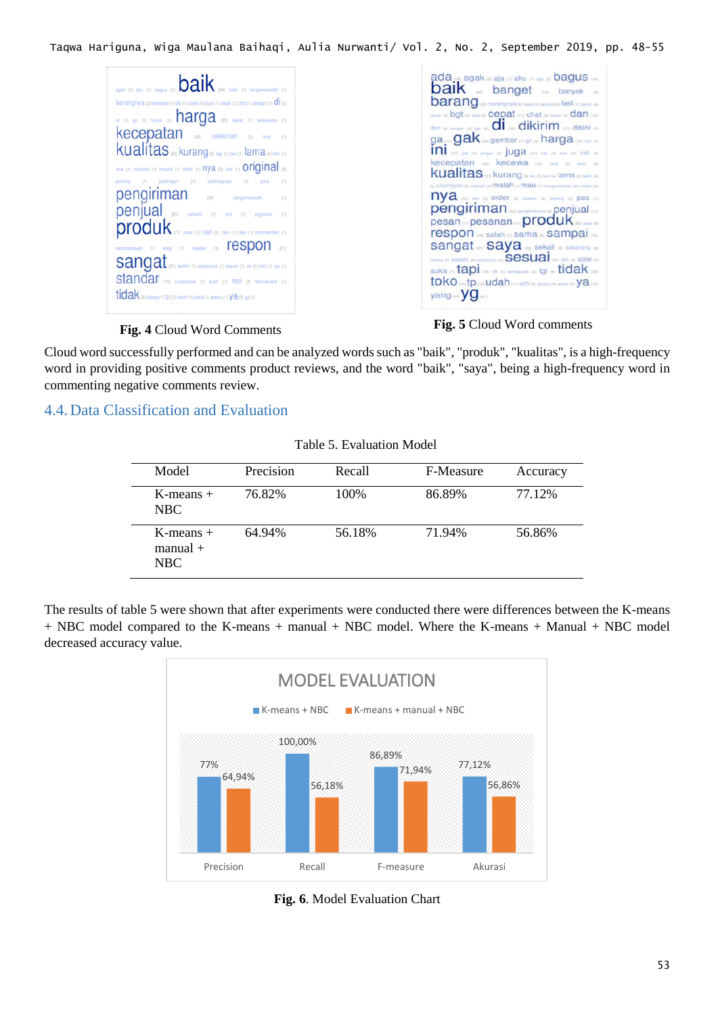# **Fig. 4** Cloud Word Comments **Fig. 5** Cloud Word comments

Cloud word successfully performed and can be analyzed words such as "baik", "produk", "kualitas", is a high-frequency word in providing positive comments product reviews, and the word "baik", "saya", being a high-frequency word in commenting negative comments review.

# 4.4. Data Classification and Evaluation

| Table 5. Evaluation Model |  |
|---------------------------|--|
|---------------------------|--|

| Model                               | Precision | Recall | F-Measure | Accuracy |
|-------------------------------------|-----------|--------|-----------|----------|
| $K$ -means $+$<br>NBC               | 76.82%    | 100%   | 86.89%    | 77.12%   |
| $K$ -means $+$<br>$manual +$<br>NBC | 64.94%    | 56.18% | 71.94%    | 56.86%   |
|                                     |           |        |           |          |

The results of table 5 were shown that after experiments were conducted there were differences between the K-means + NBC model compared to the K-means + manual + NBC model. Where the K-means + Manual + NBC model decreased accuracy value.



**Fig. 6**. Model Evaluation Chart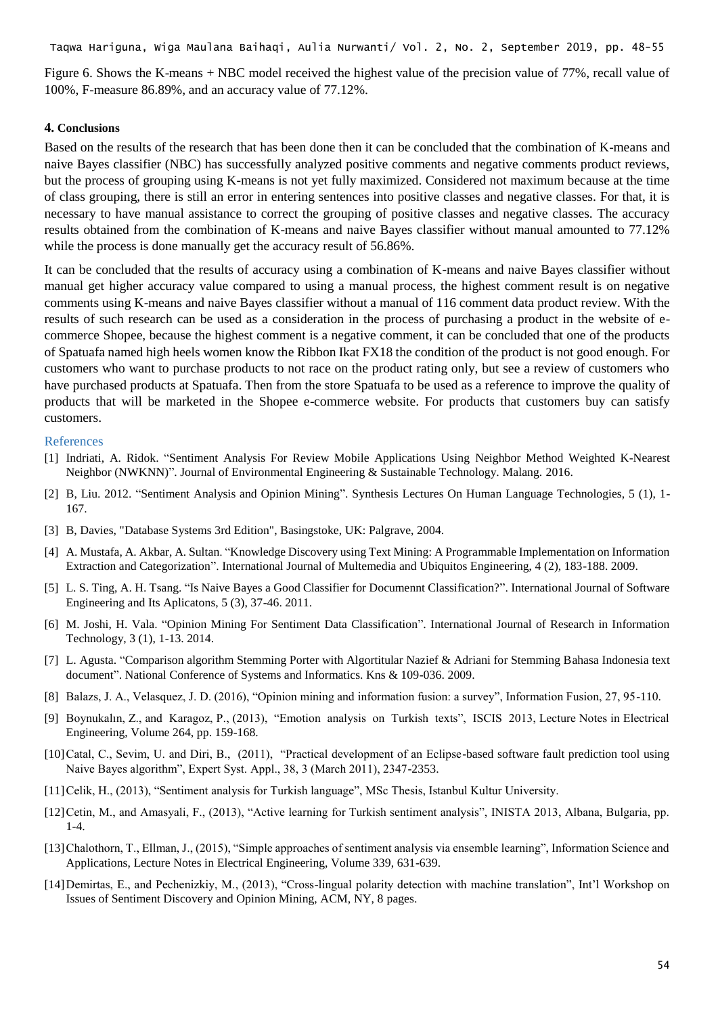Figure 6. Shows the K-means + NBC model received the highest value of the precision value of 77%, recall value of 100%, F-measure 86.89%, and an accuracy value of 77.12%.

### **4. Conclusions**

Based on the results of the research that has been done then it can be concluded that the combination of K-means and naive Bayes classifier (NBC) has successfully analyzed positive comments and negative comments product reviews, but the process of grouping using K-means is not yet fully maximized. Considered not maximum because at the time of class grouping, there is still an error in entering sentences into positive classes and negative classes. For that, it is necessary to have manual assistance to correct the grouping of positive classes and negative classes. The accuracy results obtained from the combination of K-means and naive Bayes classifier without manual amounted to 77.12% while the process is done manually get the accuracy result of 56.86%.

It can be concluded that the results of accuracy using a combination of K-means and naive Bayes classifier without manual get higher accuracy value compared to using a manual process, the highest comment result is on negative comments using K-means and naive Bayes classifier without a manual of 116 comment data product review. With the results of such research can be used as a consideration in the process of purchasing a product in the website of ecommerce Shopee, because the highest comment is a negative comment, it can be concluded that one of the products of Spatuafa named high heels women know the Ribbon Ikat FX18 the condition of the product is not good enough. For customers who want to purchase products to not race on the product rating only, but see a review of customers who have purchased products at Spatuafa. Then from the store Spatuafa to be used as a reference to improve the quality of products that will be marketed in the Shopee e-commerce website. For products that customers buy can satisfy customers.

### References

- [1] Indriati, A. Ridok. "Sentiment Analysis For Review Mobile Applications Using Neighbor Method Weighted K-Nearest Neighbor (NWKNN)". Journal of Environmental Engineering & Sustainable Technology. Malang. 2016.
- [2] B, Liu. 2012. "Sentiment Analysis and Opinion Mining". Synthesis Lectures On Human Language Technologies, 5 (1), 1- 167.
- [3] B, Davies, "Database Systems 3rd Edition", Basingstoke, UK: Palgrave, 2004.
- [4] A. Mustafa, A. Akbar, A. Sultan. "Knowledge Discovery using Text Mining: A Programmable Implementation on Information Extraction and Categorization". International Journal of Multemedia and Ubiquitos Engineering, 4 (2), 183-188. 2009.
- [5] L. S. Ting, A. H. Tsang. "Is Naive Bayes a Good Classifier for Documennt Classification?". International Journal of Software Engineering and Its Aplicatons, 5 (3), 37-46. 2011.
- [6] M. Joshi, H. Vala. "Opinion Mining For Sentiment Data Classification". International Journal of Research in Information Technology, 3 (1), 1-13. 2014.
- [7] L. Agusta. "Comparison algorithm Stemming Porter with Algortitular Nazief & Adriani for Stemming Bahasa Indonesia text document". National Conference of Systems and Informatics. Kns & 109-036. 2009.
- [8] Balazs, J. A., Velasquez, J. D. (2016), "Opinion mining and information fusion: a survey", Information Fusion, 27, 95-110.
- [9] Boynukalın, Z., and Karagoz, P., (2013), "Emotion analysis on Turkish texts", ISCIS 2013, Lecture Notes in Electrical Engineering, Volume 264, pp. 159-168.
- [10]Catal, C., Sevim, U. and Diri, B., (2011), "Practical development of an Eclipse-based software fault prediction tool using Naive Bayes algorithm", Expert Syst. Appl., 38, 3 (March 2011), 2347-2353.
- [11]Celik, H., (2013), "Sentiment analysis for Turkish language", MSc Thesis, Istanbul Kultur University.
- [12]Cetin, M., and Amasyali, F., (2013), "Active learning for Turkish sentiment analysis", INISTA 2013, Albana, Bulgaria, pp.  $1 - 4$ .
- [13]Chalothorn, T., Ellman, J., (2015), "Simple approaches of sentiment analysis via ensemble learning", Information Science and Applications, Lecture Notes in Electrical Engineering, Volume 339, 631-639.
- [14]Demirtas, E., and Pechenizkiy, M., (2013), "Cross-lingual polarity detection with machine translation", Int'l Workshop on Issues of Sentiment Discovery and Opinion Mining, ACM, NY, 8 pages.